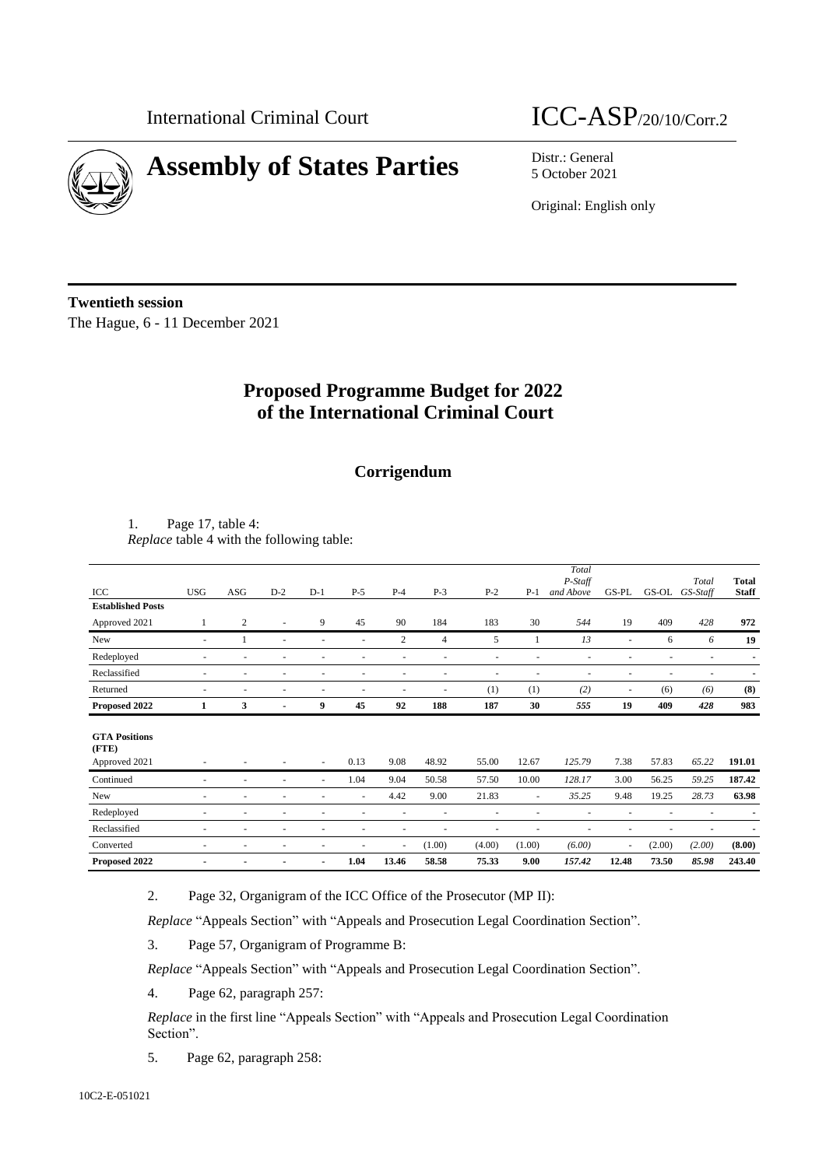

# **Assembly of States Parties** Distr.: General

## International Criminal Court ICC-ASP/20/10/Corr.2

5 October 2021

Original: English only

**Twentieth session** The Hague, 6 - 11 December 2021

## **Proposed Programme Budget for 2022 of the International Criminal Court**

### **Corrigendum**

1. Page 17, table 4: *Replace* table 4 with the following table:

|                                     |                          |                |       |                |        |                |        |        |                          | Total                |                          |        |                   |                              |
|-------------------------------------|--------------------------|----------------|-------|----------------|--------|----------------|--------|--------|--------------------------|----------------------|--------------------------|--------|-------------------|------------------------------|
| ICC                                 | <b>USG</b>               | ASG            | $D-2$ | $D-1$          | $P-5$  | $P-4$          | $P-3$  | $P-2$  | $P-1$                    | P-Staff<br>and Above | GS-PL                    | GS-OL  | Total<br>GS-Staff | <b>Total</b><br><b>Staff</b> |
|                                     |                          |                |       |                |        |                |        |        |                          |                      |                          |        |                   |                              |
| <b>Established Posts</b>            |                          |                |       |                |        |                |        |        |                          |                      |                          |        |                   |                              |
| Approved 2021                       |                          | $\overline{c}$ |       | 9              | 45     | 90             | 184    | 183    | 30                       | 544                  | 19                       | 409    | 428               | 972                          |
| New                                 | $\sim$                   |                |       | ٠              | ٠      | $\overline{c}$ | 4      | 5      |                          | 13                   | $\overline{\phantom{a}}$ | 6      | 6                 | 19                           |
| Redeployed                          | ٠                        | ٠              |       |                | ٠      | ٠              | ٠      | ٠      |                          |                      |                          |        | ٠                 |                              |
| Reclassified                        | ٠                        | ٠              |       | ٠              | ٠      | ٠              |        | ٠      |                          |                      |                          |        | ٠                 |                              |
| Returned                            | $\overline{\phantom{a}}$ | ٠              |       | ٠              | ٠      | ٠              | ٠      | (1)    | (1)                      | (2)                  | $\overline{\phantom{a}}$ | (6)    | (6)               | (8)                          |
| Proposed 2022                       | 1                        | 3              |       | 9              | 45     | 92             | 188    | 187    | 30                       | 555                  | 19                       | 409    | 428               | 983                          |
|                                     |                          |                |       |                |        |                |        |        |                          |                      |                          |        |                   |                              |
| <b>GTA Positions</b><br>$($ FTE $)$ |                          |                |       |                |        |                |        |        |                          |                      |                          |        |                   |                              |
| Approved 2021                       |                          |                |       | ٠              | 0.13   | 9.08           | 48.92  | 55.00  | 12.67                    | 125.79               | 7.38                     | 57.83  | 65.22             | 191.01                       |
| Continued                           | $\sim$                   | ٠              |       | $\sim$         | 1.04   | 9.04           | 50.58  | 57.50  | 10.00                    | 128.17               | 3.00                     | 56.25  | 59.25             | 187.42                       |
|                                     |                          |                |       |                |        | 4.42           | 9.00   | 21.83  |                          | 35.25                | 9.48                     | 19.25  | 28.73             | 63.98                        |
| New                                 | $\overline{\phantom{a}}$ | ÷              |       |                | $\sim$ |                |        |        | ٠                        |                      |                          |        |                   |                              |
| Redeployed                          | ٠                        | ٠              |       | ٠              | ٠      | ٠              | ٠      | ٠      | $\overline{\phantom{a}}$ | ٠                    |                          |        | ٠                 | $\blacksquare$               |
| Reclassified                        | ٠                        | ÷              |       | ٠              | ٠      | ٠              | ٠      | ٠      |                          | ٠                    | $\overline{\phantom{a}}$ |        | ٠                 |                              |
| Converted                           | ٠                        | ٠              |       | ٠              | ٠      | $\sim$         | (1.00) | (4.00) | (1.00)                   | (6.00)               | $\overline{\phantom{a}}$ | (2.00) | (2.00)            | (8.00)                       |
| Proposed 2022                       | ٠                        |                |       | $\blacksquare$ | 1.04   | 13.46          | 58.58  | 75.33  | 9.00                     | 157.42               | 12.48                    | 73.50  | 85.98             | 243.40                       |

2. Page 32, Organigram of the ICC Office of the Prosecutor (MP II):

*Replace* "Appeals Section" with "Appeals and Prosecution Legal Coordination Section".

3. Page 57, Organigram of Programme B:

*Replace* "Appeals Section" with "Appeals and Prosecution Legal Coordination Section".

4. Page 62, paragraph 257:

*Replace* in the first line "Appeals Section" with "Appeals and Prosecution Legal Coordination Section".

5. Page 62, paragraph 258: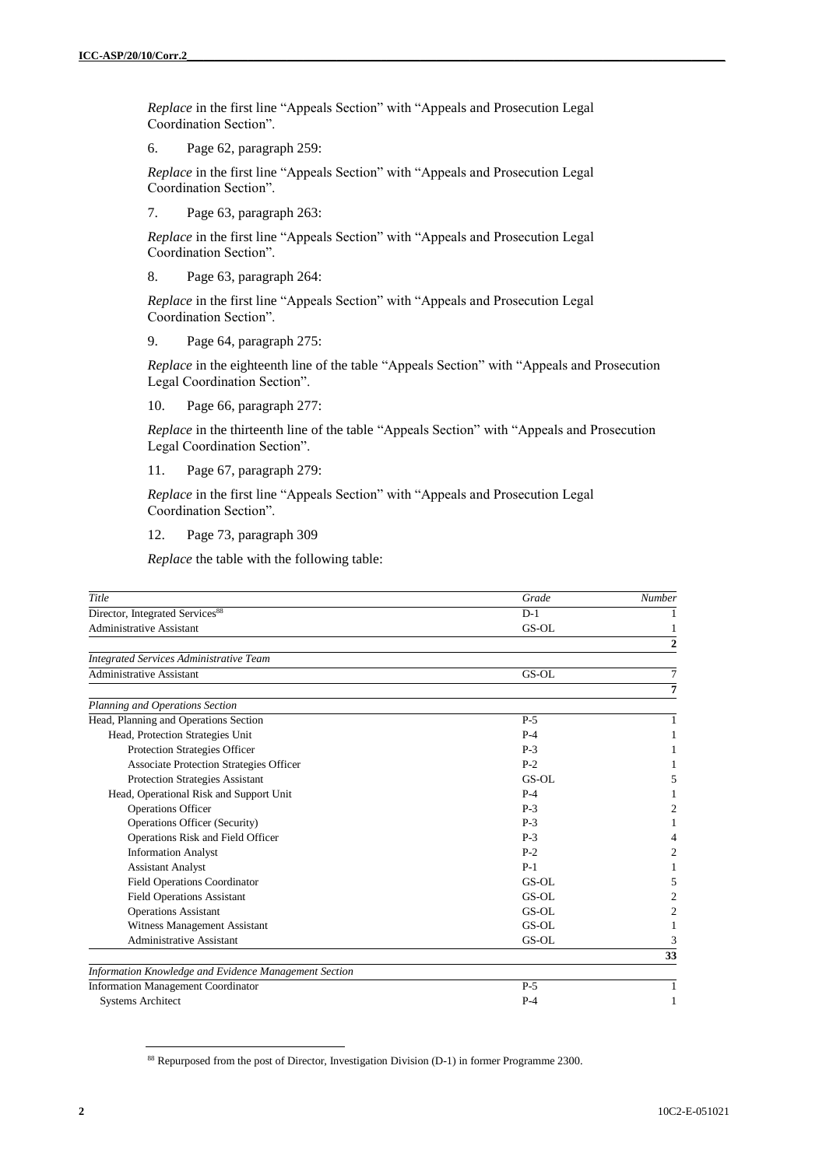*Replace* in the first line "Appeals Section" with "Appeals and Prosecution Legal Coordination Section".

6. Page 62, paragraph 259:

*Replace* in the first line "Appeals Section" with "Appeals and Prosecution Legal Coordination Section".

7. Page 63, paragraph 263:

*Replace* in the first line "Appeals Section" with "Appeals and Prosecution Legal Coordination Section".

8. Page 63, paragraph 264:

*Replace* in the first line "Appeals Section" with "Appeals and Prosecution Legal Coordination Section".

9. Page 64, paragraph 275:

*Replace* in the eighteenth line of the table "Appeals Section" with "Appeals and Prosecution Legal Coordination Section".

10. Page 66, paragraph 277:

*Replace* in the thirteenth line of the table "Appeals Section" with "Appeals and Prosecution Legal Coordination Section".

11. Page 67, paragraph 279:

*Replace* in the first line "Appeals Section" with "Appeals and Prosecution Legal Coordination Section".

12. Page 73, paragraph 309

*Replace* the table with the following table:

| Title                                                 | Grade | <b>Number</b>  |
|-------------------------------------------------------|-------|----------------|
| Director, Integrated Services <sup>88</sup>           | $D-1$ |                |
| <b>Administrative Assistant</b>                       | GS-OL |                |
|                                                       |       | $\overline{2}$ |
| <b>Integrated Services Administrative Team</b>        |       |                |
| <b>Administrative Assistant</b>                       | GS-OL | 7              |
|                                                       |       | 7              |
| Planning and Operations Section                       |       |                |
| Head, Planning and Operations Section                 | $P-5$ | 1              |
| Head, Protection Strategies Unit                      | $P-4$ |                |
| Protection Strategies Officer                         | $P-3$ |                |
| <b>Associate Protection Strategies Officer</b>        | $P-2$ |                |
| <b>Protection Strategies Assistant</b>                | GS-OL | 5              |
| Head, Operational Risk and Support Unit               | $P-4$ |                |
| <b>Operations Officer</b>                             | $P-3$ | 2              |
| <b>Operations Officer (Security)</b>                  | $P-3$ |                |
| Operations Risk and Field Officer                     | $P-3$ |                |
| <b>Information Analyst</b>                            | $P-2$ | 2              |
| <b>Assistant Analyst</b>                              | $P-1$ |                |
| <b>Field Operations Coordinator</b>                   | GS-OL | 5              |
| <b>Field Operations Assistant</b>                     | GS-OL | $\overline{c}$ |
| <b>Operations Assistant</b>                           | GS-OL | 2              |
| Witness Management Assistant                          | GS-OL | 1              |
| <b>Administrative Assistant</b>                       | GS-OL | 3              |
|                                                       |       | 33             |
| Information Knowledge and Evidence Management Section |       |                |
| <b>Information Management Coordinator</b>             | $P-5$ |                |
| <b>Systems Architect</b>                              | $P-4$ |                |

<sup>&</sup>lt;sup>88</sup> Repurposed from the post of Director, Investigation Division (D-1) in former Programme 2300.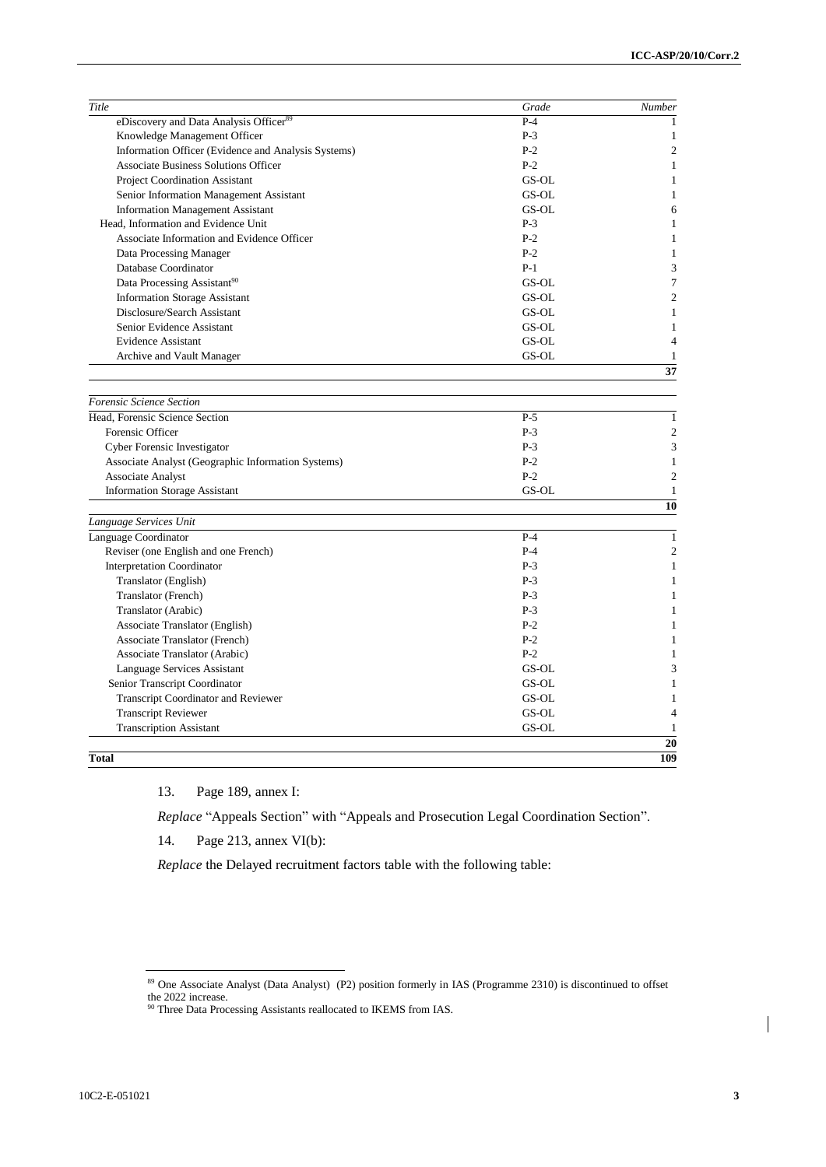| Title                                               | Grade | Number         |
|-----------------------------------------------------|-------|----------------|
| eDiscovery and Data Analysis Officer <sup>89</sup>  | $P-4$ | 1              |
| Knowledge Management Officer                        | $P-3$ | 1              |
| Information Officer (Evidence and Analysis Systems) | $P-2$ | $\overline{c}$ |
| <b>Associate Business Solutions Officer</b>         | $P-2$ | $\mathbf{1}$   |
| <b>Project Coordination Assistant</b>               | GS-OL | $\mathbf{1}$   |
| Senior Information Management Assistant             | GS-OL | $\mathbf{1}$   |
| <b>Information Management Assistant</b>             | GS-OL | 6              |
| Head. Information and Evidence Unit                 | $P-3$ | $\mathbf{1}$   |
| Associate Information and Evidence Officer          | $P-2$ | $\mathbf{1}$   |
| Data Processing Manager                             | $P-2$ | 1              |
| Database Coordinator                                | $P-1$ | 3              |
| Data Processing Assistant <sup>90</sup>             | GS-OL | $\overline{7}$ |
| <b>Information Storage Assistant</b>                | GS-OL | $\overline{c}$ |
| Disclosure/Search Assistant                         | GS-OL | $\mathbf{1}$   |
| Senior Evidence Assistant                           | GS-OL | 1              |
| <b>Evidence Assistant</b>                           | GS-OL | $\overline{4}$ |
| Archive and Vault Manager                           | GS-OL | $\mathbf{1}$   |
|                                                     |       | 37             |
| Forensic Science Section                            |       |                |
| Head. Forensic Science Section                      | $P-5$ | $\mathbf{1}$   |
| Forensic Officer                                    | $P-3$ | $\overline{c}$ |
| Cyber Forensic Investigator                         | $P-3$ | 3              |
| Associate Analyst (Geographic Information Systems)  | $P-2$ | $\mathbf{1}$   |
| <b>Associate Analyst</b>                            | $P-2$ | $\overline{c}$ |
| <b>Information Storage Assistant</b>                | GS-OL | $\mathbf{1}$   |
|                                                     |       | 10             |
| Language Services Unit                              |       |                |
| Language Coordinator                                | $P-4$ | $\mathbf{1}$   |
| Reviser (one English and one French)                | $P-4$ | $\overline{c}$ |
| <b>Interpretation Coordinator</b>                   | $P-3$ | $\mathbf{1}$   |
| Translator (English)                                | $P-3$ | $\mathbf{1}$   |
| Translator (French)                                 | $P-3$ | $\mathbf{1}$   |
| Translator (Arabic)                                 | $P-3$ | 1              |
| Associate Translator (English)                      | $P-2$ | $\mathbf{1}$   |
| <b>Associate Translator (French)</b>                | $P-2$ | $\mathbf{1}$   |
| Associate Translator (Arabic)                       | $P-2$ | 1              |
| Language Services Assistant                         | GS-OL | 3              |
| Senior Transcript Coordinator                       | GS-OL | 1              |
| Transcript Coordinator and Reviewer                 | GS-OL | $\mathbf{1}$   |
| <b>Transcript Reviewer</b>                          | GS-OL | $\overline{4}$ |
| <b>Transcription Assistant</b>                      | GS-OL | $\mathbf{1}$   |
|                                                     |       | 20             |
| <b>Total</b>                                        |       | 109            |

13. Page 189, annex I:

*Replace* "Appeals Section" with "Appeals and Prosecution Legal Coordination Section".

14. Page 213, annex VI(b):

*Replace* the Delayed recruitment factors table with the following table:

<sup>89</sup> One Associate Analyst (Data Analyst) (P2) position formerly in IAS (Programme 2310) is discontinued to offset the 2022 increase.

<sup>&</sup>lt;sup>90</sup> Three Data Processing Assistants reallocated to IKEMS from IAS.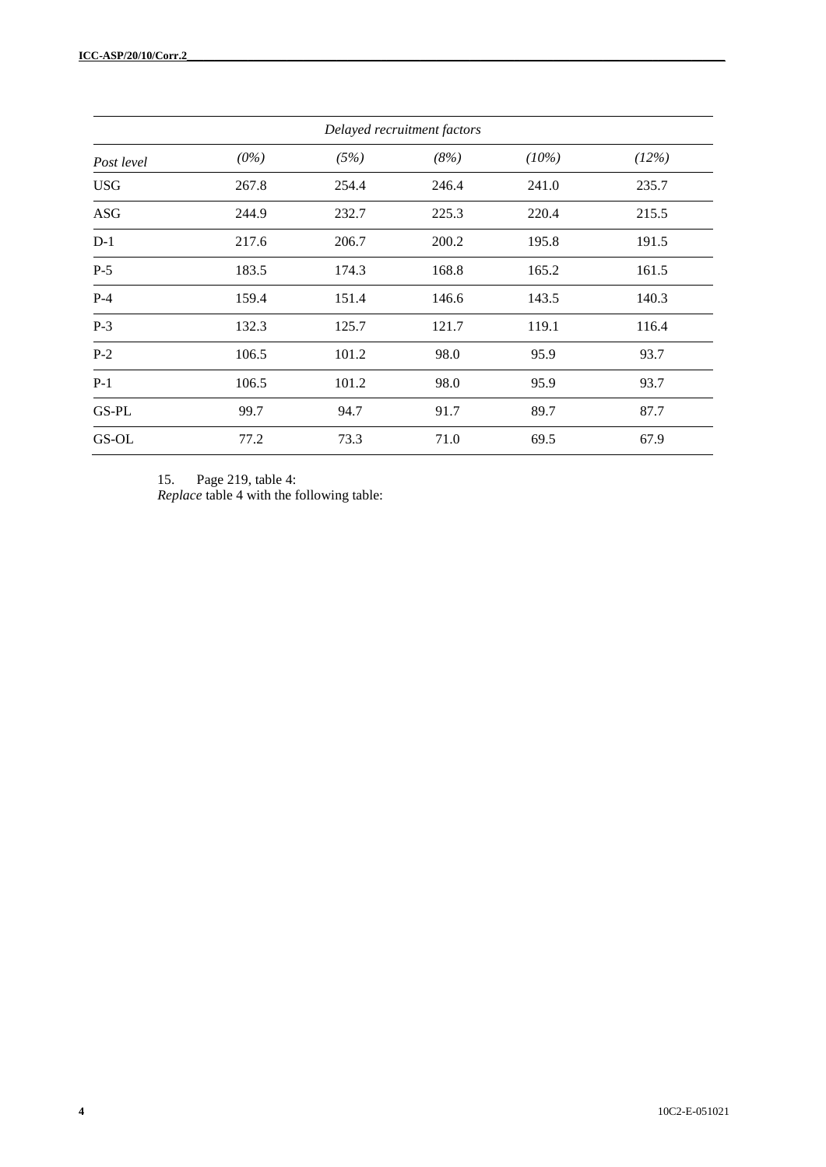| Delayed recruitment factors |         |       |       |       |       |  |  |  |
|-----------------------------|---------|-------|-------|-------|-------|--|--|--|
| Post level                  | $(0\%)$ | (5%)  | (8%)  | (10%) | (12%) |  |  |  |
| <b>USG</b>                  | 267.8   | 254.4 | 246.4 | 241.0 | 235.7 |  |  |  |
| <b>ASG</b>                  | 244.9   | 232.7 | 225.3 | 220.4 | 215.5 |  |  |  |
| $D-1$                       | 217.6   | 206.7 | 200.2 | 195.8 | 191.5 |  |  |  |
| $P-5$                       | 183.5   | 174.3 | 168.8 | 165.2 | 161.5 |  |  |  |
| $P-4$                       | 159.4   | 151.4 | 146.6 | 143.5 | 140.3 |  |  |  |
| $P-3$                       | 132.3   | 125.7 | 121.7 | 119.1 | 116.4 |  |  |  |
| $P-2$                       | 106.5   | 101.2 | 98.0  | 95.9  | 93.7  |  |  |  |
| $P-1$                       | 106.5   | 101.2 | 98.0  | 95.9  | 93.7  |  |  |  |
| GS-PL                       | 99.7    | 94.7  | 91.7  | 89.7  | 87.7  |  |  |  |
| GS-OL                       | 77.2    | 73.3  | 71.0  | 69.5  | 67.9  |  |  |  |

15. Page 219, table 4:

*Replace* table 4 with the following table: